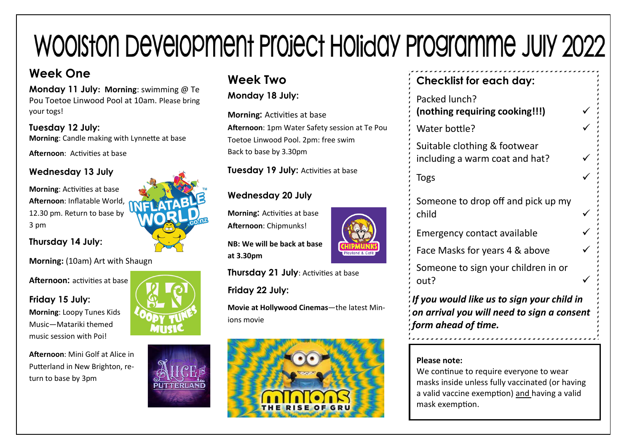# WOOISTON DEVEIOPMENT PROJECT HOIJJQY PROSITANING JUIY 2022

## **Week One**

**Monday 11 July: Morning**: swimming @ Te Pou Toetoe Linwood Pool at 10am. Please bring your togs!

**Tuesday 12 July: Morning**: Candle making with Lynnette at base

**Afternoon**: Activities at base

## **Wednesday 13 July**

**Morning**: Activities at base **Afternoon**: Inflatable World, 12.30 pm. Return to base by 3 pm

**Thursday 14 July:** 

#### **Morning:** (10am) Art with Shaugn

**Afternoon:** activities at base

**Friday 15 July: Morning**: Loopy Tunes Kids Music—Matariki themed music session with Poi!

**Afternoon**: Mini Golf at Alice in Putterland in New Brighton, return to base by 3pm



## **Week Two**

**Monday 18 July:** 

**Morning:** Activities at base **Afternoon**: 1pm Water Safety session at Te Pou Toetoe Linwood Pool. 2pm: free swim Back to base by 3.30pm

**Tuesday 19 July: Activities at base** 

### **Wednesday 20 July**

**Morning:** Activities at base **Afternoon**: Chipmunks!

**NB: We will be back at base at 3.30pm**

**Thursday 21 July: Activities at base** 

**Friday 22 July:**

**Movie at Hollywood Cinemas**—the latest Minions movie



## **Checklist for each day:**

| Packed lunch?<br>(nothing requiring cooking!!!)                |  |
|----------------------------------------------------------------|--|
| Water bottle?                                                  |  |
| Suitable clothing & footwear<br>including a warm coat and hat? |  |
| <b>Togs</b>                                                    |  |
| Someone to drop off and pick up my<br>child                    |  |

Emergency contact available

Face Masks for years 4 & above

Someone to sign your children in or out?

*If you would like us to sign your child in on arrival you will need to sign a consent form ahead of time.* 

#### **Please note:**

We continue to require everyone to wear masks inside unless fully vaccinated (or having a valid vaccine exemption) and having a valid mask exemption.